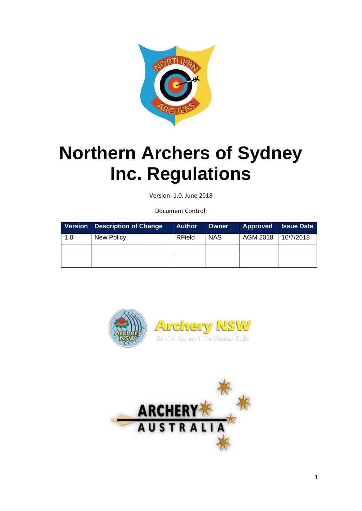

# <span id="page-0-0"></span>**Northern Archers of Sydney Inc. Regulations**

Version: 1.0. June 2018

Document Control.

|     | Version   Description of Change | <b>Author</b> | <b>Owner</b> | <b>Approved</b> | <b>Issue Date</b> |
|-----|---------------------------------|---------------|--------------|-----------------|-------------------|
| 1.0 | New Policy                      | RField        | <b>NAS</b>   | AGM 2018        | 16/7/2018         |
|     |                                 |               |              |                 |                   |
|     |                                 |               |              |                 |                   |



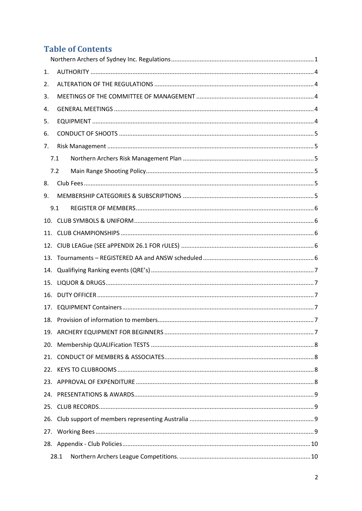# **Table of Contents**

| 1.  |      |  |  |  |  |
|-----|------|--|--|--|--|
| 2.  |      |  |  |  |  |
| 3.  |      |  |  |  |  |
| 4.  |      |  |  |  |  |
| 5.  |      |  |  |  |  |
| 6.  |      |  |  |  |  |
| 7.  |      |  |  |  |  |
|     | 7.1  |  |  |  |  |
|     | 7.2  |  |  |  |  |
| 8.  |      |  |  |  |  |
| 9.  |      |  |  |  |  |
|     | 9.1  |  |  |  |  |
|     |      |  |  |  |  |
| 11. |      |  |  |  |  |
| 12. |      |  |  |  |  |
| 13. |      |  |  |  |  |
| 14. |      |  |  |  |  |
| 15. |      |  |  |  |  |
| 16. |      |  |  |  |  |
| 17. |      |  |  |  |  |
| 18. |      |  |  |  |  |
|     |      |  |  |  |  |
|     |      |  |  |  |  |
| 21. |      |  |  |  |  |
| 22. |      |  |  |  |  |
|     |      |  |  |  |  |
| 24. |      |  |  |  |  |
|     |      |  |  |  |  |
|     |      |  |  |  |  |
|     |      |  |  |  |  |
|     |      |  |  |  |  |
|     | 28.1 |  |  |  |  |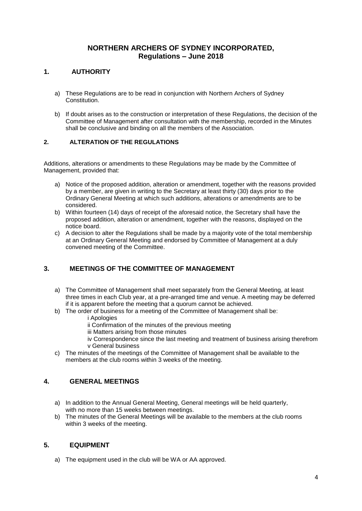# **NORTHERN ARCHERS OF SYDNEY INCORPORATED, Regulations – June 2018**

# <span id="page-3-0"></span>**1. AUTHORITY**

- a) These Regulations are to be read in conjunction with Northern Archers of Sydney Constitution.
- b) If doubt arises as to the construction or interpretation of these Regulations, the decision of the Committee of Management after consultation with the membership, recorded in the Minutes shall be conclusive and binding on all the members of the Association.

#### <span id="page-3-1"></span>**2. ALTERATION OF THE REGULATIONS**

Additions, alterations or amendments to these Regulations may be made by the Committee of Management, provided that:

- a) Notice of the proposed addition, alteration or amendment, together with the reasons provided by a member, are given in writing to the Secretary at least thirty (30) days prior to the Ordinary General Meeting at which such additions, alterations or amendments are to be considered.
- b) Within fourteen (14) days of receipt of the aforesaid notice, the Secretary shall have the proposed addition, alteration or amendment, together with the reasons, displayed on the notice board.
- c) A decision to alter the Regulations shall be made by a majority vote of the total membership at an Ordinary General Meeting and endorsed by Committee of Management at a duly convened meeting of the Committee.

# <span id="page-3-2"></span>**3. MEETINGS OF THE COMMITTEE OF MANAGEMENT**

- a) The Committee of Management shall meet separately from the General Meeting, at least three times in each Club year, at a pre-arranged time and venue. A meeting may be deferred if it is apparent before the meeting that a quorum cannot be achieved.
- b) The order of business for a meeting of the Committee of Management shall be:
	- i Apologies
	- ii Confirmation of the minutes of the previous meeting
	- iii Matters arising from those minutes
	- iv Correspondence since the last meeting and treatment of business arising therefrom v General business
- c) The minutes of the meetings of the Committee of Management shall be available to the members at the club rooms within 3 weeks of the meeting.

#### <span id="page-3-3"></span>**4. GENERAL MEETINGS**

- a) In addition to the Annual General Meeting, General meetings will be held quarterly, with no more than 15 weeks between meetings.
- b) The minutes of the General Meetings will be available to the members at the club rooms within 3 weeks of the meeting.

#### <span id="page-3-4"></span>**5. EQUIPMENT**

a) The equipment used in the club will be WA or AA approved.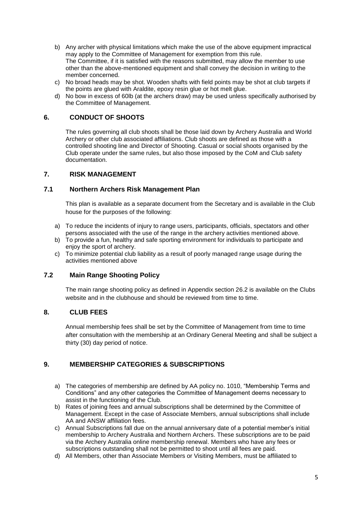- b) Any archer with physical limitations which make the use of the above equipment impractical may apply to the Committee of Management for exemption from this rule. The Committee, if it is satisfied with the reasons submitted, may allow the member to use other than the above-mentioned equipment and shall convey the decision in writing to the member concerned.
- c) No broad heads may be shot. Wooden shafts with field points may be shot at club targets if the points are glued with Araldite, epoxy resin glue or hot melt glue.
- d) No bow in excess of 60lb (at the archers draw) may be used unless specifically authorised by the Committee of Management.

#### <span id="page-4-0"></span>**6. CONDUCT OF SHOOTS**

The rules governing all club shoots shall be those laid down by Archery Australia and World Archery or other club associated affiliations. Club shoots are defined as those with a controlled shooting line and Director of Shooting. Casual or social shoots organised by the Club operate under the same rules, but also those imposed by the CoM and Club safety documentation.

#### <span id="page-4-1"></span>**7. RISK MANAGEMENT**

#### <span id="page-4-2"></span>**7.1 Northern Archers Risk Management Plan**

This plan is available as a separate document from the Secretary and is available in the Club house for the purposes of the following:

- a) To reduce the incidents of injury to range users, participants, officials, spectators and other persons associated with the use of the range in the archery activities mentioned above.
- b) To provide a fun, healthy and safe sporting environment for individuals to participate and enjoy the sport of archery.
- c) To minimize potential club liability as a result of poorly managed range usage during the activities mentioned above

#### <span id="page-4-3"></span>**7.2 Main Range Shooting Policy**

The main range shooting policy as defined in Appendix section 26.2 is available on the Clubs website and in the clubhouse and should be reviewed from time to time.

#### <span id="page-4-4"></span>**8. CLUB FEES**

Annual membership fees shall be set by the Committee of Management from time to time after consultation with the membership at an Ordinary General Meeting and shall be subject a thirty (30) day period of notice.

#### <span id="page-4-5"></span>**9. MEMBERSHIP CATEGORIES & SUBSCRIPTIONS**

- a) The categories of membership are defined by AA policy no. 1010, "Membership Terms and Conditions" and any other categories the Committee of Management deems necessary to assist in the functioning of the Club.
- b) Rates of joining fees and annual subscriptions shall be determined by the Committee of Management. Except in the case of Associate Members, annual subscriptions shall include AA and ANSW affiliation fees.
- c) Annual Subscriptions fall due on the annual anniversary date of a potential member's initial membership to Archery Australia and Northern Archers. These subscriptions are to be paid via the Archery Australia online membership renewal. Members who have any fees or subscriptions outstanding shall not be permitted to shoot until all fees are paid.
- d) All Members, other than Associate Members or Visiting Members, must be affiliated to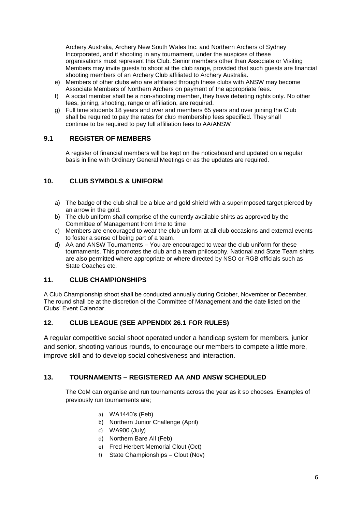Archery Australia, Archery New South Wales Inc. and Northern Archers of Sydney Incorporated, and if shooting in any tournament, under the auspices of these organisations must represent this Club. Senior members other than Associate or Visiting Members may invite guests to shoot at the club range, provided that such guests are financial shooting members of an Archery Club affiliated to Archery Australia.

- e) Members of other clubs who are affiliated through these clubs with ANSW may become Associate Members of Northern Archers on payment of the appropriate fees.
- f) A social member shall be a non-shooting member, they have debating rights only. No other fees, joining, shooting, range or affiliation, are required.
- g) Full time students 18 years and over and members 65 years and over joining the Club shall be required to pay the rates for club membership fees specified. They shall continue to be required to pay full affiliation fees to AA/ANSW

#### <span id="page-5-0"></span>**9.1 REGISTER OF MEMBERS**

A register of financial members will be kept on the noticeboard and updated on a regular basis in line with Ordinary General Meetings or as the updates are required.

#### <span id="page-5-1"></span>**10. CLUB SYMBOLS & UNIFORM**

- a) The badge of the club shall be a blue and gold shield with a superimposed target pierced by an arrow in the gold.
- b) The club uniform shall comprise of the currently available shirts as approved by the Committee of Management from time to time
- c) Members are encouraged to wear the club uniform at all club occasions and external events to foster a sense of being part of a team.
- d) AA and ANSW Tournaments You are encouraged to wear the club uniform for these tournaments. This promotes the club and a team philosophy. National and State Team shirts are also permitted where appropriate or where directed by NSO or RGB officials such as State Coaches etc.

#### <span id="page-5-2"></span>**11. CLUB CHAMPIONSHIPS**

A Club Championship shoot shall be conducted annually during October, November or December. The round shall be at the discretion of the Committee of Management and the date listed on the Clubs' Event Calendar.

#### <span id="page-5-3"></span>**12. CLUB LEAGUE (SEE APPENDIX 26.1 FOR RULES)**

A regular competitive social shoot operated under a handicap system for members, junior and senior, shooting various rounds, to encourage our members to compete a little more, improve skill and to develop social cohesiveness and interaction.

#### <span id="page-5-4"></span>**13. TOURNAMENTS – REGISTERED AA AND ANSW SCHEDULED**

The CoM can organise and run tournaments across the year as it so chooses. Examples of previously run tournaments are;

- a) WA1440's (Feb)
- b) Northern Junior Challenge (April)
- c) WA900 (July)
- d) Northern Bare All (Feb)
- e) Fred Herbert Memorial Clout (Oct)
- f) State Championships Clout (Nov)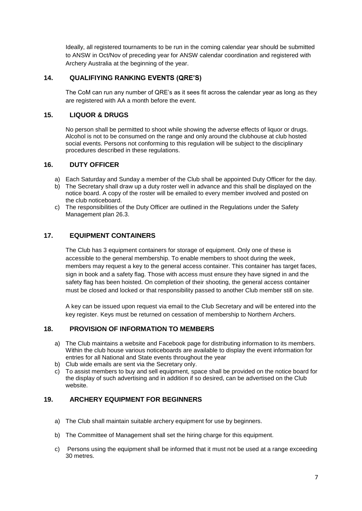Ideally, all registered tournaments to be run in the coming calendar year should be submitted to ANSW in Oct/Nov of preceding year for ANSW calendar coordination and registered with Archery Australia at the beginning of the year.

# <span id="page-6-0"></span>**14. QUALIFIYING RANKING EVENTS (QRE'S)**

The CoM can run any number of QRE's as it sees fit across the calendar year as long as they are registered with AA a month before the event.

## <span id="page-6-1"></span>**15. LIQUOR & DRUGS**

No person shall be permitted to shoot while showing the adverse effects of liquor or drugs. Alcohol is not to be consumed on the range and only around the clubhouse at club hosted social events. Persons not conforming to this regulation will be subject to the disciplinary procedures described in these regulations.

# <span id="page-6-2"></span>**16. DUTY OFFICER**

- a) Each Saturday and Sunday a member of the Club shall be appointed Duty Officer for the day.
- b) The Secretary shall draw up a duty roster well in advance and this shall be displayed on the notice board. A copy of the roster will be emailed to every member involved and posted on the club noticeboard.
- c) The responsibilities of the Duty Officer are outlined in the Regulations under the Safety Management plan 26.3.

# <span id="page-6-3"></span>**17. EQUIPMENT CONTAINERS**

The Club has 3 equipment containers for storage of equipment. Only one of these is accessible to the general membership. To enable members to shoot during the week, members may request a key to the general access container. This container has target faces, sign in book and a safety flag. Those with access must ensure they have signed in and the safety flag has been hoisted. On completion of their shooting, the general access container must be closed and locked or that responsibility passed to another Club member still on site.

A key can be issued upon request via email to the Club Secretary and will be entered into the key register. Keys must be returned on cessation of membership to Northern Archers.

#### <span id="page-6-4"></span>**18. PROVISION OF INFORMATION TO MEMBERS**

- a) The Club maintains a website and Facebook page for distributing information to its members. Within the club house various noticeboards are available to display the event information for entries for all National and State events throughout the year
- b) Club wide emails are sent via the Secretary only.
- c) To assist members to buy and sell equipment, space shall be provided on the notice board for the display of such advertising and in addition if so desired, can be advertised on the Club website.

### <span id="page-6-5"></span>**19. ARCHERY EQUIPMENT FOR BEGINNERS**

- a) The Club shall maintain suitable archery equipment for use by beginners.
- b) The Committee of Management shall set the hiring charge for this equipment.
- c) Persons using the equipment shall be informed that it must not be used at a range exceeding 30 metres.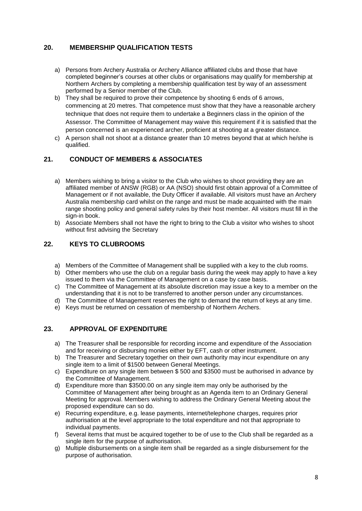# <span id="page-7-0"></span>**20. MEMBERSHIP QUALIFICATION TESTS**

- a) Persons from Archery Australia or Archery Alliance affiliated clubs and those that have completed beginner's courses at other clubs or organisations may qualify for membership at Northern Archers by completing a membership qualification test by way of an assessment performed by a Senior member of the Club.
- b) They shall be required to prove their competence by shooting 6 ends of 6 arrows, commencing at 20 metres. That competence must show that they have a reasonable archery technique that does not require them to undertake a Beginners class in the opinion of the Assessor. The Committee of Management may waive this requirement if it is satisfied that the person concerned is an experienced archer, proficient at shooting at a greater distance.
- c) A person shall not shoot at a distance greater than 10 metres beyond that at which he/she is qualified.

# <span id="page-7-1"></span>**21. CONDUCT OF MEMBERS & ASSOCIATES**

- a) Members wishing to bring a visitor to the Club who wishes to shoot providing they are an affiliated member of ANSW (RGB) or AA (NSO) should first obtain approval of a Committee of Management or if not available, the Duty Officer if available. All visitors must have an Archery Australia membership card whilst on the range and must be made acquainted with the main range shooting policy and general safety rules by their host member. All visitors must fill in the sign-in book.
- b) Associate Members shall not have the right to bring to the Club a visitor who wishes to shoot without first advising the Secretary

#### <span id="page-7-2"></span>**22. KEYS TO CLUBROOMS**

- a) Members of the Committee of Management shall be supplied with a key to the club rooms.
- b) Other members who use the club on a regular basis during the week may apply to have a key issued to them via the Committee of Management on a case by case basis.
- c) The Committee of Management at its absolute discretion may issue a key to a member on the understanding that it is not to be transferred to another person under any circumstances.
- d) The Committee of Management reserves the right to demand the return of keys at any time.
- e) Keys must be returned on cessation of membership of Northern Archers.

#### <span id="page-7-3"></span>**23. APPROVAL OF EXPENDITURE**

- a) The Treasurer shall be responsible for recording income and expenditure of the Association and for receiving or disbursing monies either by EFT, cash or other instrument.
- b) The Treasurer and Secretary together on their own authority may incur expenditure on any single item to a limit of \$1500 between General Meetings.
- c) Expenditure on any single item between \$ 500 and \$3500 must be authorised in advance by the Committee of Management.
- d) Expenditure more than \$3500.00 on any single item may only be authorised by the Committee of Management after being brought as an Agenda item to an Ordinary General Meeting for approval. Members wishing to address the Ordinary General Meeting about the proposed expenditure can so do.
- e) Recurring expenditure, e.g. lease payments, internet/telephone charges, requires prior authorisation at the level appropriate to the total expenditure and not that appropriate to individual payments.
- f) Several items that must be acquired together to be of use to the Club shall be regarded as a single item for the purpose of authorisation.
- g) Multiple disbursements on a single item shall be regarded as a single disbursement for the purpose of authorisation.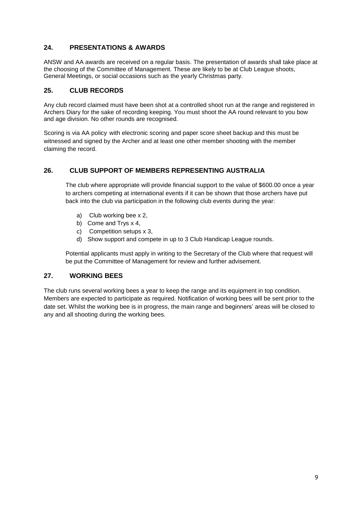# <span id="page-8-0"></span>**24. PRESENTATIONS & AWARDS**

ANSW and AA awards are received on a regular basis. The presentation of awards shall take place at the choosing of the Committee of Management. These are likely to be at Club League shoots, General Meetings, or social occasions such as the yearly Christmas party.

#### <span id="page-8-1"></span>**25. CLUB RECORDS**

Any club record claimed must have been shot at a controlled shoot run at the range and registered in Archers Diary for the sake of recording keeping. You must shoot the AA round relevant to you bow and age division. No other rounds are recognised.

Scoring is via AA policy with electronic scoring and paper score sheet backup and this must be witnessed and signed by the Archer and at least one other member shooting with the member claiming the record.

# <span id="page-8-2"></span>**26. CLUB SUPPORT OF MEMBERS REPRESENTING AUSTRALIA**

The club where appropriate will provide financial support to the value of \$600.00 once a year to archers competing at international events if it can be shown that those archers have put back into the club via participation in the following club events during the year:

- a) Club working bee x 2,
- b) Come and Trys x 4,
- c) Competition setups x 3,
- d) Show support and compete in up to 3 Club Handicap League rounds.

Potential applicants must apply in writing to the Secretary of the Club where that request will be put the Committee of Management for review and further advisement.

#### <span id="page-8-3"></span>**27. WORKING BEES**

The club runs several working bees a year to keep the range and its equipment in top condition. Members are expected to participate as required. Notification of working bees will be sent prior to the date set. Whilst the working bee is in progress, the main range and beginners' areas will be closed to any and all shooting during the working bees.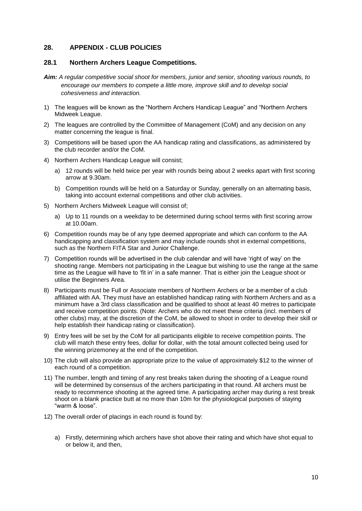#### <span id="page-9-0"></span>**28. APPENDIX - CLUB POLICIES**

#### <span id="page-9-1"></span>**28.1 Northern Archers League Competitions.**

- *Aim: A regular competitive social shoot for members, junior and senior, shooting various rounds, to encourage our members to compete a little more, improve skill and to develop social cohesiveness and interaction.*
- 1) The leagues will be known as the "Northern Archers Handicap League" and "Northern Archers Midweek League.
- 2) The leagues are controlled by the Committee of Management (CoM) and any decision on any matter concerning the league is final.
- 3) Competitions will be based upon the AA handicap rating and classifications, as administered by the club recorder and/or the CoM.
- 4) Northern Archers Handicap League will consist;
	- a) 12 rounds will be held twice per year with rounds being about 2 weeks apart with first scoring arrow at 9.30am.
	- b) Competition rounds will be held on a Saturday or Sunday, generally on an alternating basis, taking into account external competitions and other club activities.
- 5) Northern Archers Midweek League will consist of;
	- a) Up to 11 rounds on a weekday to be determined during school terms with first scoring arrow at 10.00am.
- 6) Competition rounds may be of any type deemed appropriate and which can conform to the AA handicapping and classification system and may include rounds shot in external competitions, such as the Northern FITA Star and Junior Challenge.
- 7) Competition rounds will be advertised in the club calendar and will have 'right of way' on the shooting range. Members not participating in the League but wishing to use the range at the same time as the League will have to 'fit in' in a safe manner. That is either join the League shoot or utilise the Beginners Area.
- 8) Participants must be Full or Associate members of Northern Archers or be a member of a club affiliated with AA. They must have an established handicap rating with Northern Archers and as a minimum have a 3rd class classification and be qualified to shoot at least 40 metres to participate and receive competition points. (Note: Archers who do not meet these criteria (incl. members of other clubs) may, at the discretion of the CoM, be allowed to shoot in order to develop their skill or help establish their handicap rating or classification).
- 9) Entry fees will be set by the CoM for all participants eligible to receive competition points. The club will match these entry fees, dollar for dollar, with the total amount collected being used for the winning prizemoney at the end of the competition.
- 10) The club will also provide an appropriate prize to the value of approximately \$12 to the winner of each round of a competition.
- 11) The number, length and timing of any rest breaks taken during the shooting of a League round will be determined by consensus of the archers participating in that round. All archers must be ready to recommence shooting at the agreed time. A participating archer may during a rest break shoot on a blank practice butt at no more than 10m for the physiological purposes of staying "warm & loose".
- 12) The overall order of placings in each round is found by:
	- a) Firstly, determining which archers have shot above their rating and which have shot equal to or below it, and then,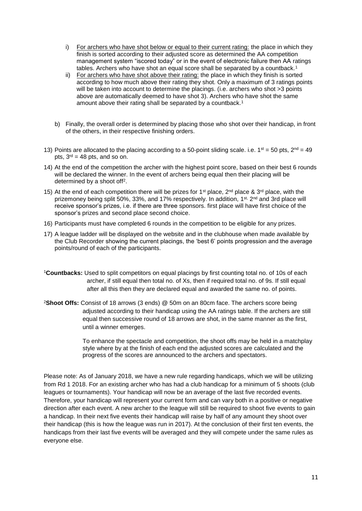- i) For archers who have shot below or equal to their current rating: the place in which they finish is sorted according to their adjusted score as determined the AA competition management system "iscored today" or in the event of electronic failure then AA ratings tables. Archers who have shot an equal score shall be separated by a countback.<sup>1</sup>
- ii) For archers who have shot above their rating: the place in which they finish is sorted according to how much above their rating they shot. Only a maximum of 3 ratings points will be taken into account to determine the placings. (i.e. archers who shot >3 points above are automatically deemed to have shot 3). Archers who have shot the same amount above their rating shall be separated by a countback.<sup>1</sup>
- b) Finally, the overall order is determined by placing those who shot over their handicap, in front of the others, in their respective finishing orders.
- 13) Points are allocated to the placing according to a 50-point sliding scale. i.e.  $1^{st} = 50$  pts,  $2^{nd} = 49$ pts,  $3<sup>rd</sup> = 48$  pts, and so on.
- 14) At the end of the competition the archer with the highest point score, based on their best 6 rounds will be declared the winner. In the event of archers being equal then their placing will be determined by a shoot off<sup>2</sup>.
- 15) At the end of each competition there will be prizes for 1<sup>st</sup> place,  $2<sup>nd</sup>$  place &  $3<sup>rd</sup>$  place, with the prizemoney being split 50%, 33%, and 17% respectively. In addition, 1<sup>st,</sup> 2<sup>nd</sup> and 3rd place will receive sponsor's prizes, i.e. if there are three sponsors. first place will have first choice of the sponsor's prizes and second place second choice.
- 16) Participants must have completed 6 rounds in the competition to be eligible for any prizes.
- 17) A league ladder will be displayed on the website and in the clubhouse when made available by the Club Recorder showing the current placings, the 'best 6' points progression and the average points/round of each of the participants.
- <sup>1</sup>**Countbacks:** Used to split competitors on equal placings by first counting total no. of 10s of each archer, if still equal then total no. of Xs, then if required total no. of 9s. If still equal after all this then they are declared equal and awarded the same no. of points.
- <sup>2</sup>**Shoot Offs:** Consist of 18 arrows (3 ends) @ 50m on an 80cm face. The archers score being adjusted according to their handicap using the AA ratings table. If the archers are still equal then successive round of 18 arrows are shot, in the same manner as the first, until a winner emerges.

To enhance the spectacle and competition, the shoot offs may be held in a matchplay style where by at the finish of each end the adjusted scores are calculated and the progress of the scores are announced to the archers and spectators.

Please note: As of January 2018, we have a new rule regarding handicaps, which we will be utilizing from Rd 1 2018. For an existing archer who has had a club handicap for a minimum of 5 shoots (club leagues or tournaments). Your handicap will now be an average of the last five recorded events. Therefore, your handicap will represent your current form and can vary both in a positive or negative direction after each event. A new archer to the league will still be required to shoot five events to gain a handicap. In their next five events their handicap will raise by half of any amount they shoot over their handicap (this is how the league was run in 2017). At the conclusion of their first ten events, the handicaps from their last five events will be averaged and they will compete under the same rules as everyone else.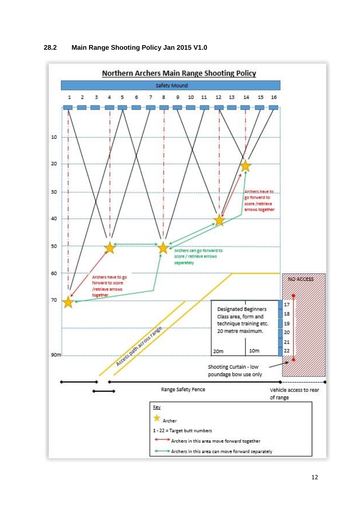<span id="page-11-0"></span>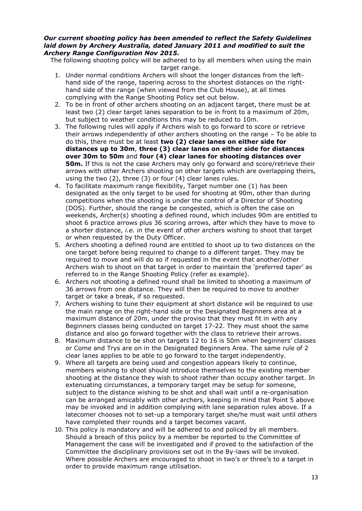#### *Our current shooting policy has been amended to reflect the Safety Guidelines laid down by Archery Australia, dated January 2011 and modified to suit the Archery Range Configuration Nov 2015.*

The following shooting policy will be adhered to by all members when using the main target range.

- 1. Under normal conditions Archers will shoot the longer distances from the lefthand side of the range, tapering across to the shortest distances on the righthand side of the range (when viewed from the Club House), at all times complying with the Range Shooting Policy set out below.
- 2. To be in front of other archers shooting on an adjacent target, there must be at least two (2) clear target lanes separation to be in front to a maximum of 20m, but subject to weather conditions this may be reduced to 10m.
- 3. The following rules will apply if Archers wish to go forward to score or retrieve their arrows independently of other archers shooting on the range – To be able to do this, there must be at least **two (2) clear lanes on either side for distances up to 30m**, **three (3) clear lanes on either side for distances over 30m to 50m** and **four (4) clear lanes for shooting distances over 50m.** If this is not the case Archers may only go forward and score/retrieve their arrows with other Archers shooting on other targets which are overlapping theirs, using the two (2), three (3) or four (4) clear lanes rules.
- 4. To facilitate maximum range flexibility, Target number one (1) has been designated as the only target to be used for shooting at 90m, other than during competitions when the shooting is under the control of a Director of Shooting (DOS). Further, should the range be congested, which is often the case on weekends, Archer(s) shooting a defined round, which includes 90m are entitled to shoot 6 practice arrows plus 36 scoring arrows, after which they have to move to a shorter distance, *i.e.* in the event of other archers wishing to shoot that target or when requested by the Duty Officer.
- 5. Archers shooting a defined round are entitled to shoot up to two distances on the one target before being required to change to a different target. They may be required to move and will do so if requested in the event that another/other Archers wish to shoot on that target in order to maintain the 'preferred taper' as referred to in the Range Shooting Policy (refer as example).
- 6. Archers not shooting a defined round shall be limited to shooting a maximum of 36 arrows from one distance. They will then be required to move to another target or take a break, if so requested.
- 7. Archers wishing to tune their equipment at short distance will be required to use the main range on the right-hand side or the Designated Beginners area at a maximum distance of 20m, under the proviso that they must fit in with any Beginners classes being conducted on target 17-22. They must shoot the same distance and also go forward together with the class to retrieve their arrows.
- 8. Maximum distance to be shot on targets 12 to 16 is 50m when beginners' classes or Come and Trys are on in the Designated Beginners Area. The same rule of 2 clear lanes applies to be able to go forward to the target independently.
- 9. Where all targets are being used and congestion appears likely to continue, members wishing to shoot should introduce themselves to the existing member shooting at the distance they wish to shoot rather than occupy another target. In extenuating circumstances, a temporary target may be setup for someone, subject to the distance wishing to be shot and shall wait until a re-organisation can be arranged amicably with other archers, keeping in mind that Point 5 above may be invoked and in addition complying with lane separation rules above. If a latecomer chooses not to set-up a temporary target she/he must wait until others have completed their rounds and a target becomes vacant.
- 10. This policy is mandatory and will be adhered to and policed by all members. Should a breach of this policy by a member be reported to the Committee of Management the case will be investigated and if proved to the satisfaction of the Committee the disciplinary provisions set out in the By-laws will be invoked. Where possible Archers are encouraged to shoot in two's or three's to a target in order to provide maximum range utilisation.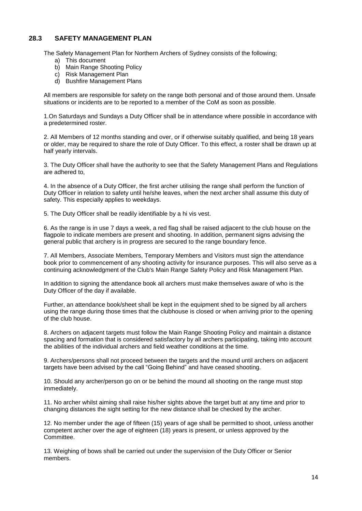# <span id="page-13-0"></span>**28.3 SAFETY MANAGEMENT PLAN**

The Safety Management Plan for Northern Archers of Sydney consists of the following;

- a) This document
- b) Main Range Shooting Policy
- c) Risk Management Plan
- d) Bushfire Management Plans

All members are responsible for safety on the range both personal and of those around them. Unsafe situations or incidents are to be reported to a member of the CoM as soon as possible.

1.On Saturdays and Sundays a Duty Officer shall be in attendance where possible in accordance with a predetermined roster.

2. All Members of 12 months standing and over, or if otherwise suitably qualified, and being 18 years or older, may be required to share the role of Duty Officer. To this effect, a roster shall be drawn up at half yearly intervals.

3. The Duty Officer shall have the authority to see that the Safety Management Plans and Regulations are adhered to,

4. In the absence of a Duty Officer, the first archer utilising the range shall perform the function of Duty Officer in relation to safety until he/she leaves, when the next archer shall assume this duty of safety. This especially applies to weekdays.

5. The Duty Officer shall be readily identifiable by a hi vis vest.

6. As the range is in use 7 days a week, a red flag shall be raised adjacent to the club house on the flagpole to indicate members are present and shooting. In addition, permanent signs advising the general public that archery is in progress are secured to the range boundary fence.

7. All Members, Associate Members, Temporary Members and Visitors must sign the attendance book prior to commencement of any shooting activity for insurance purposes. This will also serve as a continuing acknowledgment of the Club's Main Range Safety Policy and Risk Management Plan.

In addition to signing the attendance book all archers must make themselves aware of who is the Duty Officer of the day if available.

Further, an attendance book/sheet shall be kept in the equipment shed to be signed by all archers using the range during those times that the clubhouse is closed or when arriving prior to the opening of the club house.

8. Archers on adjacent targets must follow the Main Range Shooting Policy and maintain a distance spacing and formation that is considered satisfactory by all archers participating, taking into account the abilities of the individual archers and field weather conditions at the time.

9. Archers/persons shall not proceed between the targets and the mound until archers on adjacent targets have been advised by the call "Going Behind" and have ceased shooting.

10. Should any archer/person go on or be behind the mound all shooting on the range must stop immediately.

11. No archer whilst aiming shall raise his/her sights above the target butt at any time and prior to changing distances the sight setting for the new distance shall be checked by the archer.

12. No member under the age of fifteen (15) years of age shall be permitted to shoot, unless another competent archer over the age of eighteen (18) years is present, or unless approved by the Committee.

13. Weighing of bows shall be carried out under the supervision of the Duty Officer or Senior members.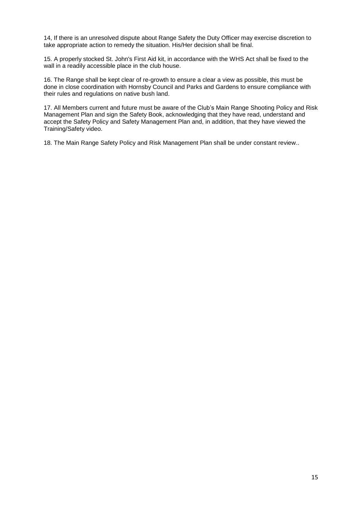14, If there is an unresolved dispute about Range Safety the Duty Officer may exercise discretion to take appropriate action to remedy the situation. His/Her decision shall be final.

15. A properly stocked St. John's First Aid kit, in accordance with the WHS Act shall be fixed to the wall in a readily accessible place in the club house.

16. The Range shall be kept clear of re-growth to ensure a clear a view as possible, this must be done in close coordination with Hornsby Council and Parks and Gardens to ensure compliance with their rules and regulations on native bush land.

17. All Members current and future must be aware of the Club's Main Range Shooting Policy and Risk Management Plan and sign the Safety Book, acknowledging that they have read, understand and accept the Safety Policy and Safety Management Plan and, in addition, that they have viewed the Training/Safety video.

18. The Main Range Safety Policy and Risk Management Plan shall be under constant review..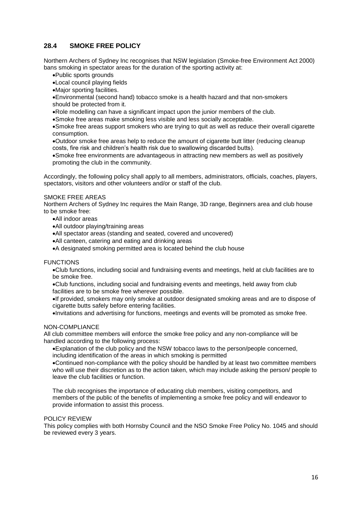# <span id="page-15-0"></span>**28.4 SMOKE FREE POLICY**

Northern Archers of Sydney Inc recognises that NSW legislation (Smoke-free Environment Act 2000) bans smoking in spectator areas for the duration of the sporting activity at:

- •Public sports grounds
- •Local council playing fields
- •Major sporting facilities.
- •Environmental (second hand) tobacco smoke is a health hazard and that non-smokers
- should be protected from it.
- •Role modelling can have a significant impact upon the junior members of the club.
- •Smoke free areas make smoking less visible and less socially acceptable.

•Smoke free areas support smokers who are trying to quit as well as reduce their overall cigarette consumption.

•Outdoor smoke free areas help to reduce the amount of cigarette butt litter (reducing cleanup costs, fire risk and children's health risk due to swallowing discarded butts).

•Smoke free environments are advantageous in attracting new members as well as positively promoting the club in the community.

Accordingly, the following policy shall apply to all members, administrators, officials, coaches, players, spectators, visitors and other volunteers and/or or staff of the club.

#### SMOKE FREE AREAS

Northern Archers of Sydney Inc requires the Main Range, 3D range, Beginners area and club house to be smoke free:

- •All indoor areas
- •All outdoor playing/training areas
- •All spectator areas (standing and seated, covered and uncovered)
- •All canteen, catering and eating and drinking areas
- •A designated smoking permitted area is located behind the club house

#### FUNCTIONS

•Club functions, including social and fundraising events and meetings, held at club facilities are to be smoke free.

•Club functions, including social and fundraising events and meetings, held away from club facilities are to be smoke free wherever possible.

•If provided, smokers may only smoke at outdoor designated smoking areas and are to dispose of cigarette butts safely before entering facilities.

•Invitations and advertising for functions, meetings and events will be promoted as smoke free.

#### NON-COMPLIANCE

All club committee members will enforce the smoke free policy and any non-compliance will be handled according to the following process:

•Explanation of the club policy and the NSW tobacco laws to the person/people concerned, including identification of the areas in which smoking is permitted

•Continued non-compliance with the policy should be handled by at least two committee members who will use their discretion as to the action taken, which may include asking the person/ people to leave the club facilities or function.

The club recognises the importance of educating club members, visiting competitors, and members of the public of the benefits of implementing a smoke free policy and will endeavor to provide information to assist this process.

#### POLICY REVIEW

This policy complies with both Hornsby Council and the NSO Smoke Free Policy No. 1045 and should be reviewed every 3 years.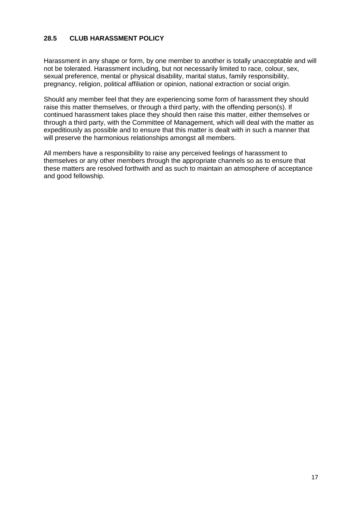# <span id="page-16-0"></span>**28.5 CLUB HARASSMENT POLICY**

Harassment in any shape or form, by one member to another is totally unacceptable and will not be tolerated. Harassment including, but not necessarily limited to race, colour, sex, sexual preference, mental or physical disability, marital status, family responsibility, pregnancy, religion, political affiliation or opinion, national extraction or social origin.

Should any member feel that they are experiencing some form of harassment they should raise this matter themselves, or through a third party, with the offending person(s). If continued harassment takes place they should then raise this matter, either themselves or through a third party, with the Committee of Management, which will deal with the matter as expeditiously as possible and to ensure that this matter is dealt with in such a manner that will preserve the harmonious relationships amongst all members.

All members have a responsibility to raise any perceived feelings of harassment to themselves or any other members through the appropriate channels so as to ensure that these matters are resolved forthwith and as such to maintain an atmosphere of acceptance and good fellowship.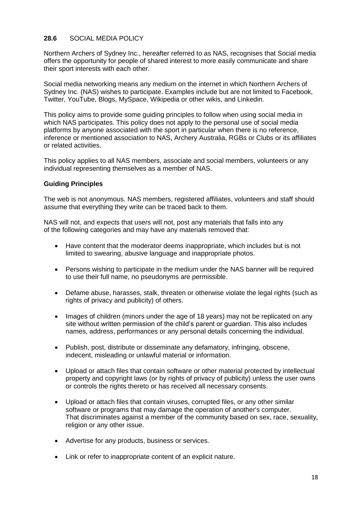# <span id="page-17-0"></span>**28.6** SOCIAL MEDIA POLICY

Northern Archers of Sydney Inc., hereafter referred to as NAS, recognises that Social media offers the opportunity for people of shared interest to more easily communicate and share their sport interests with each other.

Social media networking means any medium on the internet in which Northern Archers of Sydney Inc. (NAS) wishes to participate. Examples include but are not limited to Facebook, Twitter, YouTube, Blogs, MySpace, Wikipedia or other wikis, and Linkedin.

This policy aims to provide some guiding principles to follow when using social media in which NAS participates. This policy does not apply to the personal use of social media platforms by anyone associated with the sport in particular when there is no reference, inference or mentioned association to NAS, Archery Australia, RGBs or Clubs or its affiliates or related activities.

This policy applies to all NAS members, associate and social members, volunteers or any individual representing themselves as a member of NAS.

#### **Guiding Principles**

The web is not anonymous. NAS members, registered affiliates, volunteers and staff should assume that everything they write can be traced back to them.

NAS will not, and expects that users will not, post any materials that falls into any of the following categories and may have any materials removed that:

- Have content that the moderator deems inappropriate, which includes but is not limited to swearing, abusive language and inappropriate photos.
- Persons wishing to participate in the medium under the NAS banner will be required to use their full name, no pseudonyms are permissible.
- Defame abuse, harasses, stalk, threaten or otherwise violate the legal rights (such as rights of privacy and publicity) of others.
- Images of children (minors under the age of 18 years) may not be replicated on any site without written permission of the child's parent or guardian. This also includes names, address, performances or any personal details concerning the individual.
- Publish, post, distribute or disseminate any defamatory, infringing, obscene, indecent, misleading or unlawful material or information.
- Upload or attach files that contain software or other material protected by intellectual property and copyright laws (or by rights of privacy of publicity) unless the user owns or controls the rights thereto or has received all necessary consents.
- Upload or attach files that contain viruses, corrupted files, or any other similar software or programs that may damage the operation of another's computer. That discriminates against a member of the community based on sex, race, sexuality, religion or any other issue.
- Advertise for any products, business or services.
- Link or refer to inappropriate content of an explicit nature.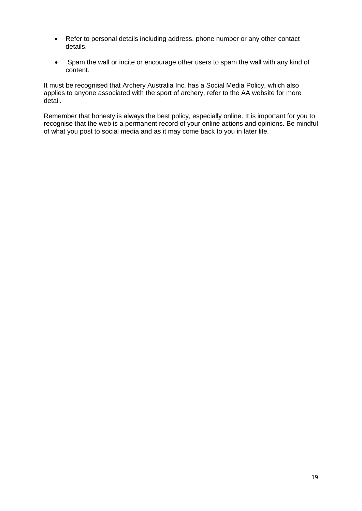- Refer to personal details including address, phone number or any other contact details.
- Spam the wall or incite or encourage other users to spam the wall with any kind of content.

It must be recognised that Archery Australia Inc. has a Social Media Policy, which also applies to anyone associated with the sport of archery, refer to the AA website for more detail.

Remember that honesty is always the best policy, especially online. It is important for you to recognise that the web is a permanent record of your online actions and opinions. Be mindful of what you post to social media and as it may come back to you in later life.